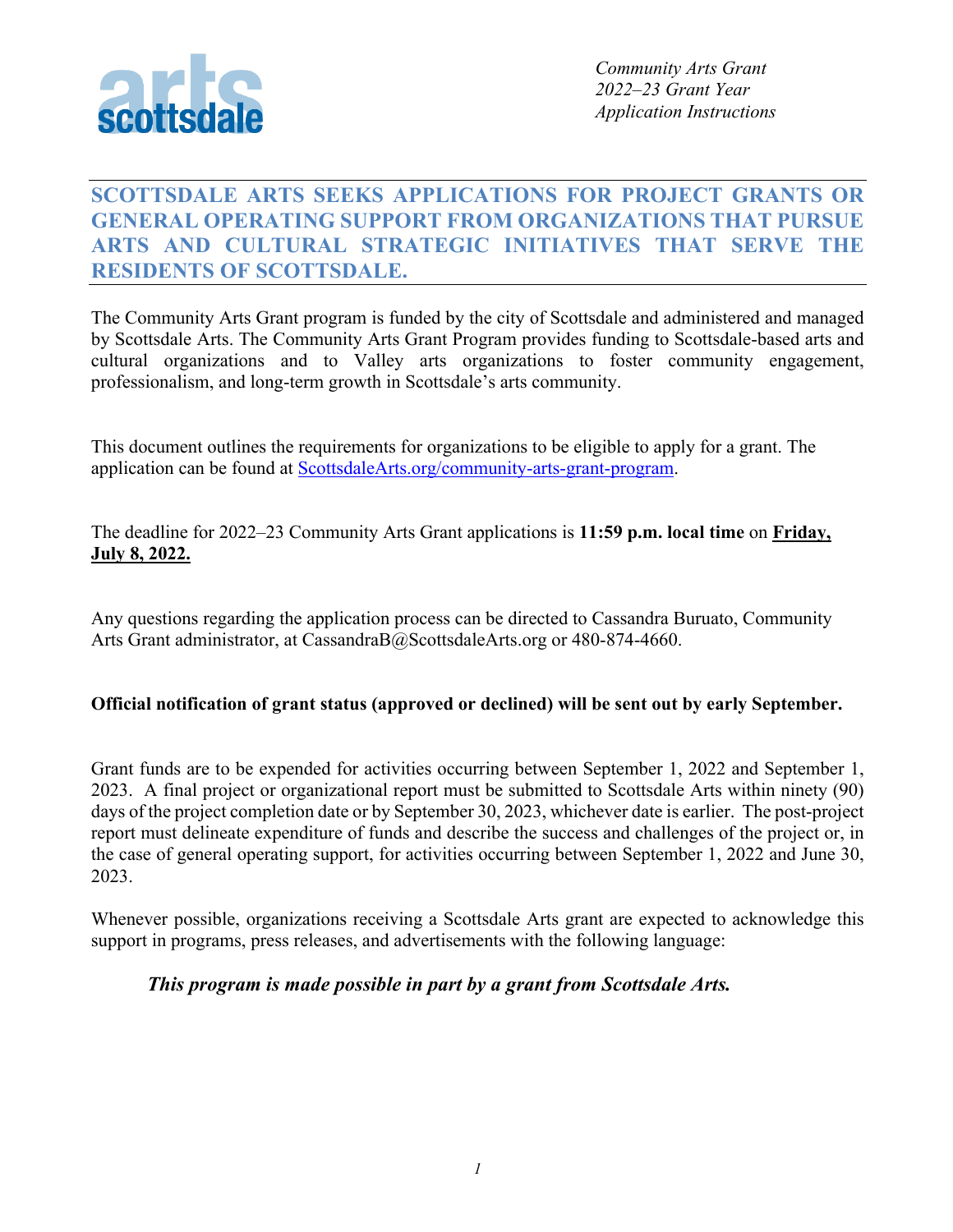

# **SCOTTSDALE ARTS SEEKS APPLICATIONS FOR PROJECT GRANTS OR GENERAL OPERATING SUPPORT FROM ORGANIZATIONS THAT PURSUE ARTS AND CULTURAL STRATEGIC INITIATIVES THAT SERVE THE RESIDENTS OF SCOTTSDALE.**

The Community Arts Grant program is funded by the city of Scottsdale and administered and managed by Scottsdale Arts. The Community Arts Grant Program provides funding to Scottsdale-based arts and cultural organizations and to Valley arts organizations to foster community engagement, professionalism, and long-term growth in Scottsdale's arts community.

This document outlines the requirements for organizations to be eligible to apply for a grant. The application can be found at ScottsdaleArts.org/community-arts-grant-program.

The deadline for 2022–23 Community Arts Grant applications is **11:59 p.m. local time** on **Friday, July 8, 2022.**

Any questions regarding the application process can be directed to Cassandra Buruato, Community Arts Grant administrator, at CassandraB@ScottsdaleArts.org or 480-874-4660.

#### **Official notification of grant status (approved or declined) will be sent out by early September.**

Grant funds are to be expended for activities occurring between September 1, 2022 and September 1, 2023. A final project or organizational report must be submitted to Scottsdale Arts within ninety (90) days of the project completion date or by September 30, 2023, whichever date is earlier. The post-project report must delineate expenditure of funds and describe the success and challenges of the project or, in the case of general operating support, for activities occurring between September 1, 2022 and June 30, 2023.

Whenever possible, organizations receiving a Scottsdale Arts grant are expected to acknowledge this support in programs, press releases, and advertisements with the following language:

### *This program is made possible in part by a grant from Scottsdale Arts.*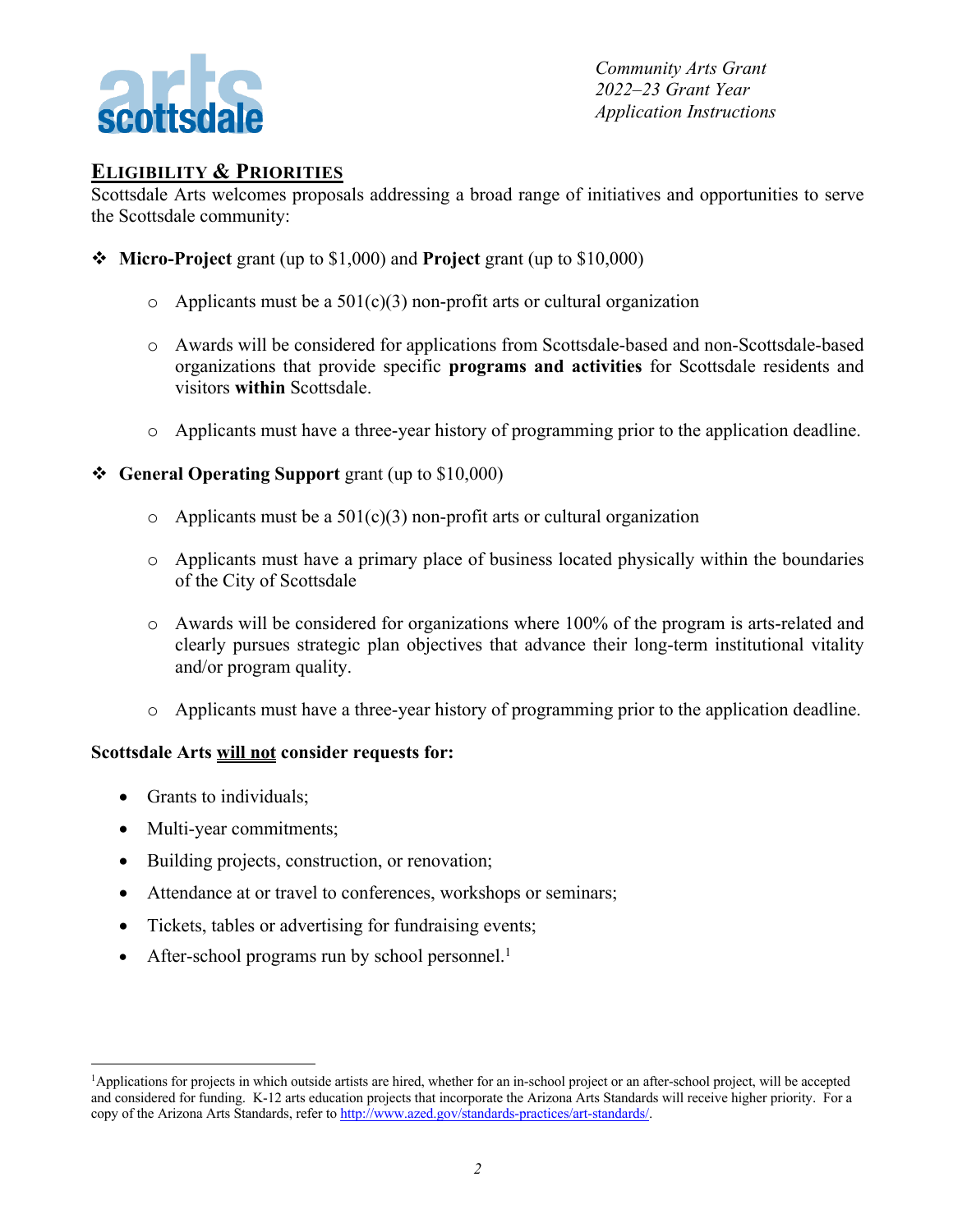

## **ELIGIBILITY & PRIORITIES**

Scottsdale Arts welcomes proposals addressing a broad range of initiatives and opportunities to serve the Scottsdale community:

- v **Micro-Project** grant (up to \$1,000) and **Project** grant (up to \$10,000)
	- $\circ$  Applicants must be a 501(c)(3) non-profit arts or cultural organization
	- o Awards will be considered for applications from Scottsdale-based and non-Scottsdale-based organizations that provide specific **programs and activities** for Scottsdale residents and visitors **within** Scottsdale.
	- o Applicants must have a three-year history of programming prior to the application deadline.
- v **General Operating Support** grant (up to \$10,000)
	- $\circ$  Applicants must be a 501(c)(3) non-profit arts or cultural organization
	- o Applicants must have a primary place of business located physically within the boundaries of the City of Scottsdale
	- $\circ$  Awards will be considered for organizations where 100% of the program is arts-related and clearly pursues strategic plan objectives that advance their long-term institutional vitality and/or program quality.
	- o Applicants must have a three-year history of programming prior to the application deadline.

#### **Scottsdale Arts will not consider requests for:**

- Grants to individuals;
- Multi-year commitments;
- Building projects, construction, or renovation;
- Attendance at or travel to conferences, workshops or seminars;
- Tickets, tables or advertising for fundraising events;
- After-school programs run by school personnel.<sup>1</sup>

<sup>&</sup>lt;sup>1</sup>Applications for projects in which outside artists are hired, whether for an in-school project or an after-school project, will be accepted and considered for funding. K-12 arts education projects that incorporate the Arizona Arts Standards will receive higher priority. For a copy of the Arizona Arts Standards, refer to http://www.azed.gov/standards-practices/art-standards/.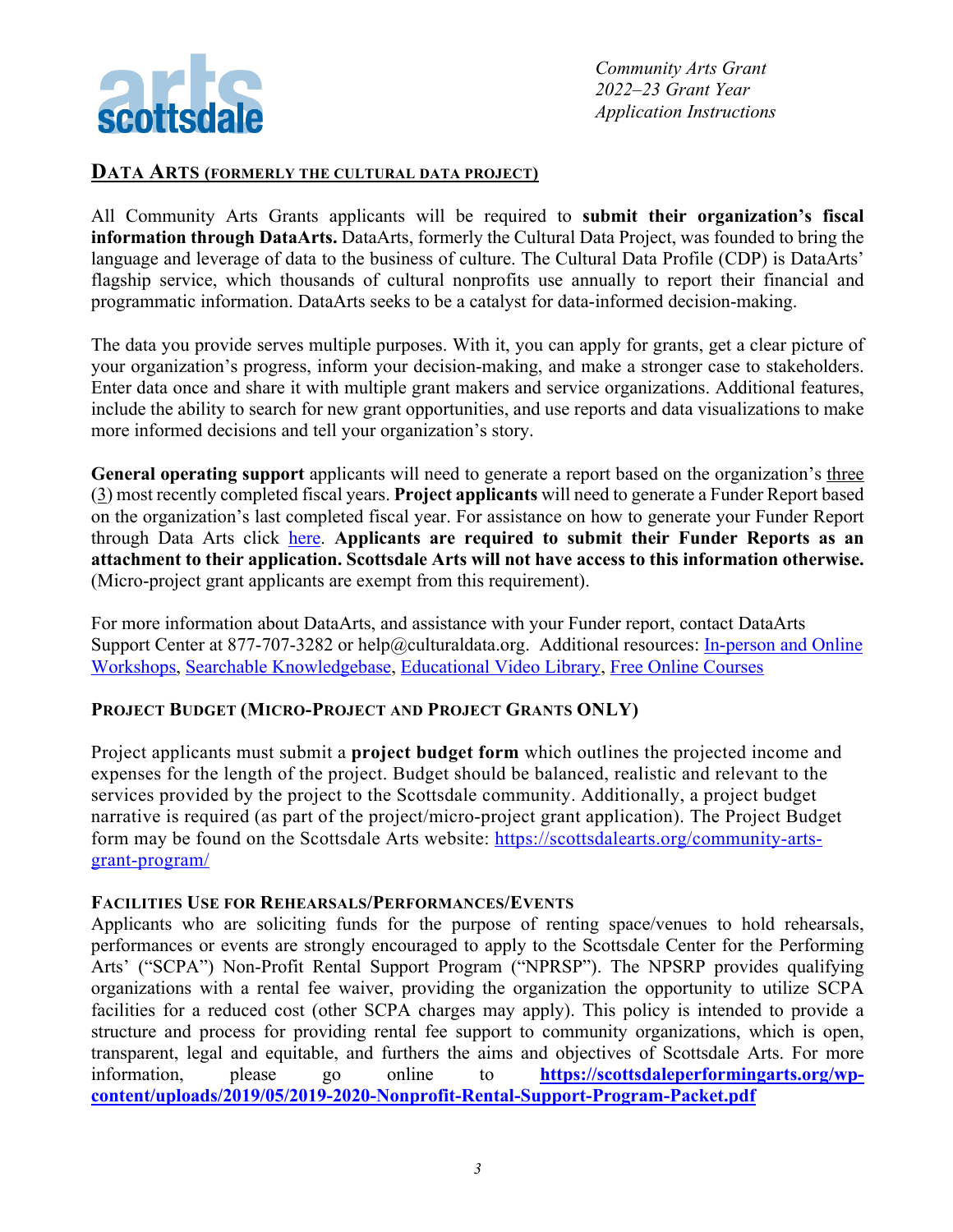

#### **DATA ARTS (FORMERLY THE CULTURAL DATA PROJECT)**

All Community Arts Grants applicants will be required to **submit their organization's fiscal information through DataArts.** DataArts, formerly the Cultural Data Project, was founded to bring the language and leverage of data to the business of culture. The Cultural Data Profile (CDP) is DataArts' flagship service, which thousands of cultural nonprofits use annually to report their financial and programmatic information. DataArts seeks to be a catalyst for data-informed decision-making.

The data you provide serves multiple purposes. With it, you can apply for grants, get a clear picture of your organization's progress, inform your decision-making, and make a stronger case to stakeholders. Enter data once and share it with multiple grant makers and service organizations. Additional features, include the ability to search for new grant opportunities, and use reports and data visualizations to make more informed decisions and tell your organization's story.

**General operating support** applicants will need to generate a report based on the organization's three (3) most recently completed fiscal years. **Project applicants** will need to generate a Funder Report based on the organization's last completed fiscal year. For assistance on how to generate your Funder Report through Data Arts click here. **Applicants are required to submit their Funder Reports as an attachment to their application. Scottsdale Arts will not have access to this information otherwise.** (Micro-project grant applicants are exempt from this requirement).

For more information about DataArts, and assistance with your Funder report, contact DataArts Support Center at 877-707-3282 or help@culturaldata.org. Additional resources: In-person and Online Workshops, Searchable Knowledgebase, Educational Video Library, Free Online Courses

#### **PROJECT BUDGET (MICRO-PROJECT AND PROJECT GRANTS ONLY)**

Project applicants must submit a **project budget form** which outlines the projected income and expenses for the length of the project. Budget should be balanced, realistic and relevant to the services provided by the project to the Scottsdale community. Additionally, a project budget narrative is required (as part of the project/micro-project grant application). The Project Budget form may be found on the Scottsdale Arts website: https://scottsdalearts.org/community-artsgrant-program/

#### **FACILITIES USE FOR REHEARSALS/PERFORMANCES/EVENTS**

Applicants who are soliciting funds for the purpose of renting space/venues to hold rehearsals, performances or events are strongly encouraged to apply to the Scottsdale Center for the Performing Arts' ("SCPA") Non-Profit Rental Support Program ("NPRSP"). The NPSRP provides qualifying organizations with a rental fee waiver, providing the organization the opportunity to utilize SCPA facilities for a reduced cost (other SCPA charges may apply). This policy is intended to provide a structure and process for providing rental fee support to community organizations, which is open, transparent, legal and equitable, and furthers the aims and objectives of Scottsdale Arts. For more information, please go online to **https://scottsdaleperformingarts.org/wpcontent/uploads/2019/05/2019-2020-Nonprofit-Rental-Support-Program-Packet.pdf**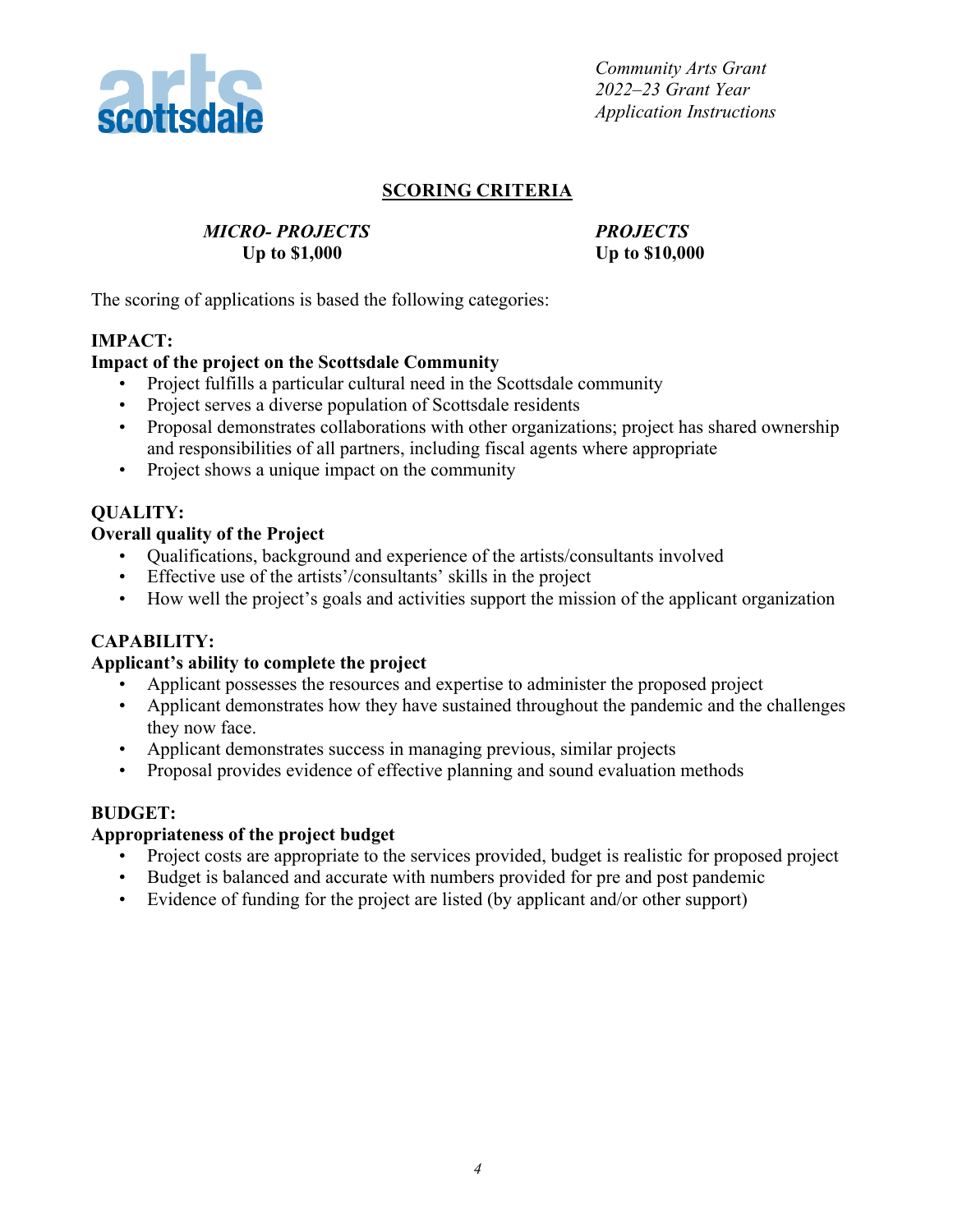

### **SCORING CRITERIA**

### *MICRO- PROJECTS PROJECTS* **Up to \$1,000 Up to \$10,000**

The scoring of applications is based the following categories:

### **IMPACT:**

#### **Impact of the project on the Scottsdale Community**

- Project fulfills a particular cultural need in the Scottsdale community
- Project serves a diverse population of Scottsdale residents
- Proposal demonstrates collaborations with other organizations; project has shared ownership and responsibilities of all partners, including fiscal agents where appropriate
- Project shows a unique impact on the community

## **QUALITY:**

### **Overall quality of the Project**

- Qualifications, background and experience of the artists/consultants involved
- Effective use of the artists'/consultants' skills in the project
- How well the project's goals and activities support the mission of the applicant organization

### **CAPABILITY:**

#### **Applicant's ability to complete the project**

- Applicant possesses the resources and expertise to administer the proposed project
- Applicant demonstrates how they have sustained throughout the pandemic and the challenges they now face.
- Applicant demonstrates success in managing previous, similar projects
- Proposal provides evidence of effective planning and sound evaluation methods

#### **BUDGET:**

#### **Appropriateness of the project budget**

- Project costs are appropriate to the services provided, budget is realistic for proposed project
- Budget is balanced and accurate with numbers provided for pre and post pandemic
- Evidence of funding for the project are listed (by applicant and/or other support)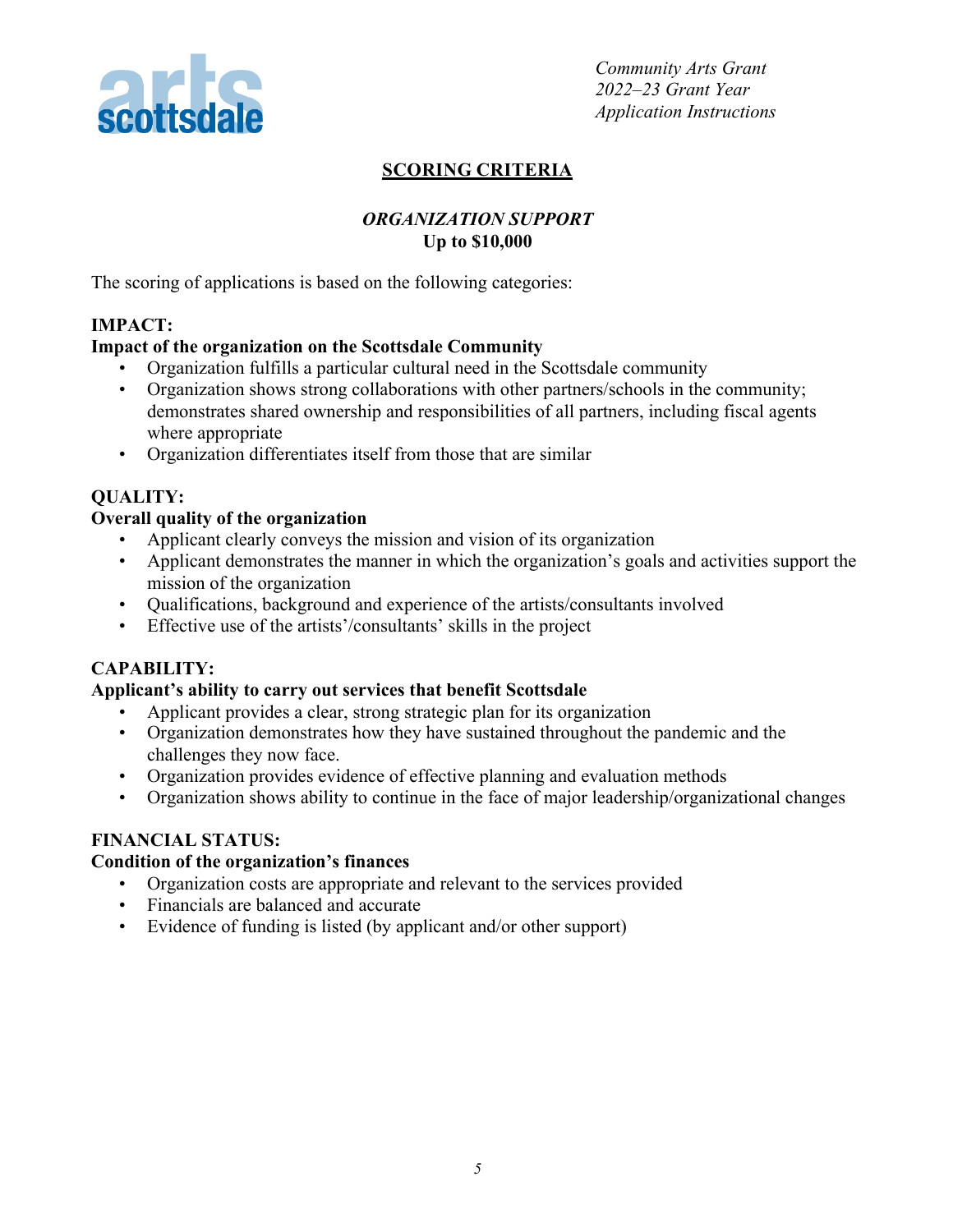

## **SCORING CRITERIA**

### *ORGANIZATION SUPPORT* **Up to \$10,000**

The scoring of applications is based on the following categories:

### **IMPACT:**

### **Impact of the organization on the Scottsdale Community**

- Organization fulfills a particular cultural need in the Scottsdale community
- Organization shows strong collaborations with other partners/schools in the community; demonstrates shared ownership and responsibilities of all partners, including fiscal agents where appropriate
- Organization differentiates itself from those that are similar

### **QUALITY:**

#### **Overall quality of the organization**

- Applicant clearly conveys the mission and vision of its organization
- Applicant demonstrates the manner in which the organization's goals and activities support the mission of the organization
- Qualifications, background and experience of the artists/consultants involved
- Effective use of the artists'/consultants' skills in the project

### **CAPABILITY:**

#### **Applicant's ability to carry out services that benefit Scottsdale**

- Applicant provides a clear, strong strategic plan for its organization
- Organization demonstrates how they have sustained throughout the pandemic and the challenges they now face.
- Organization provides evidence of effective planning and evaluation methods
- Organization shows ability to continue in the face of major leadership/organizational changes

### **FINANCIAL STATUS:**

#### **Condition of the organization's finances**

- Organization costs are appropriate and relevant to the services provided
- Financials are balanced and accurate
- Evidence of funding is listed (by applicant and/or other support)